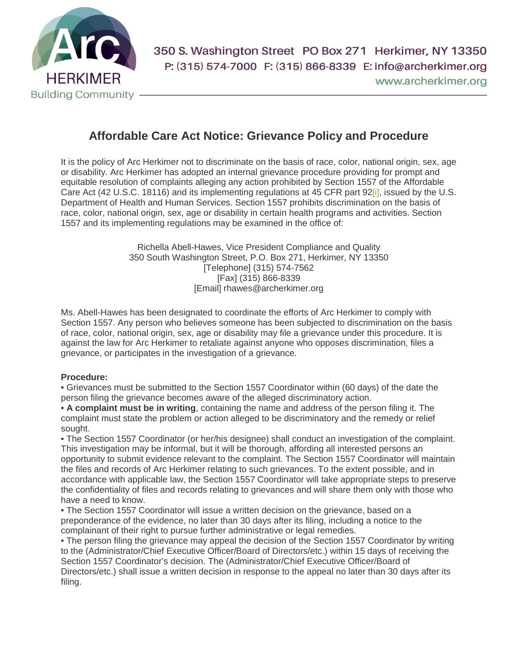

## **Affordable Care Act Notice: Grievance Policy and Procedure**

It is the policy of Arc Herkimer not to discriminate on the basis of race, color, national origin, sex, age or disability. Arc Herkimer has adopted an internal grievance procedure providing for prompt and equitable resolution of complaints alleging any action prohibited by Section 1557 of the Affordable Care Act (42 U.S.C. 18116) and its implementing regulations at 45 CFR part 92<sup>[j]</sup>, issued by the U.S. Department of Health and Human Services. Section 1557 prohibits discrimination on the basis of race, color, national origin, sex, age or disability in certain health programs and activities. Section 1557 and its implementing regulations may be examined in the office of:

> Richella Abell-Hawes, Vice President Compliance and Quality 350 South Washington Street, P.O. Box 271, Herkimer, NY 13350 [Telephone] (315) 574-7562 [Fax] (315) 866-8339 [Email] rhawes@archerkimer.org

Ms. Abell-Hawes has been designated to coordinate the efforts of Arc Herkimer to comply with Section 1557. Any person who believes someone has been subjected to discrimination on the basis of race, color, national origin, sex, age or disability may file a grievance under this procedure. It is against the law for Arc Herkimer to retaliate against anyone who opposes discrimination, files a grievance, or participates in the investigation of a grievance.

## **Procedure:**

• Grievances must be submitted to the Section 1557 Coordinator within (60 days) of the date the person filing the grievance becomes aware of the alleged discriminatory action.

• **A complaint must be in writing**, containing the name and address of the person filing it. The complaint must state the problem or action alleged to be discriminatory and the remedy or relief sought.

• The Section 1557 Coordinator (or her/his designee) shall conduct an investigation of the complaint. This investigation may be informal, but it will be thorough, affording all interested persons an opportunity to submit evidence relevant to the complaint. The Section 1557 Coordinator will maintain the files and records of Arc Herkimer relating to such grievances. To the extent possible, and in accordance with applicable law, the Section 1557 Coordinator will take appropriate steps to preserve the confidentiality of files and records relating to grievances and will share them only with those who have a need to know.

• The Section 1557 Coordinator will issue a written decision on the grievance, based on a preponderance of the evidence, no later than 30 days after its filing, including a notice to the complainant of their right to pursue further administrative or legal remedies.

• The person filing the grievance may appeal the decision of the Section 1557 Coordinator by writing to the (Administrator/Chief Executive Officer/Board of Directors/etc.) within 15 days of receiving the Section 1557 Coordinator's decision. The (Administrator/Chief Executive Officer/Board of Directors/etc.) shall issue a written decision in response to the appeal no later than 30 days after its filing.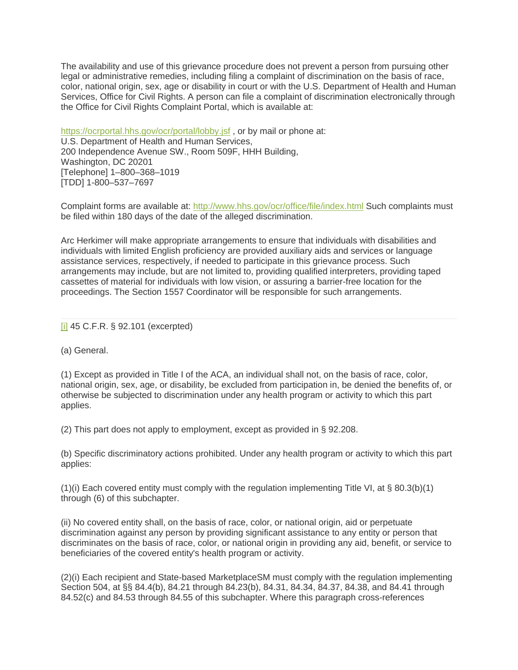The availability and use of this grievance procedure does not prevent a person from pursuing other legal or administrative remedies, including filing a complaint of discrimination on the basis of race, color, national origin, sex, age or disability in court or with the U.S. Department of Health and Human Services, Office for Civil Rights. A person can file a complaint of discrimination electronically through the Office for Civil Rights Complaint Portal, which is available at:

<https://ocrportal.hhs.gov/ocr/portal/lobby.jsf>, or by mail or phone at: U.S. Department of Health and Human Services, 200 Independence Avenue SW., Room 509F, HHH Building, Washington, DC 20201 [Telephone] 1–800–368–1019 [TDD] 1-800–537–7697

Complaint forms are available at: <http://www.hhs.gov/ocr/office/file/index.html> Such complaints must be filed within 180 days of the date of the alleged discrimination.

Arc Herkimer will make appropriate arrangements to ensure that individuals with disabilities and individuals with limited English proficiency are provided auxiliary aids and services or language assistance services, respectively, if needed to participate in this grievance process. Such arrangements may include, but are not limited to, providing qualified interpreters, providing taped cassettes of material for individuals with low vision, or assuring a barrier-free location for the proceedings. The Section 1557 Coordinator will be responsible for such arrangements.

## [\[i\]](http://edit.www.archerkimer.org/#_ednref1) 45 C.F.R. § 92.101 (excerpted)

(a) General.

(1) Except as provided in Title I of the ACA, an individual shall not, on the basis of race, color, national origin, sex, age, or disability, be excluded from participation in, be denied the benefits of, or otherwise be subjected to discrimination under any health program or activity to which this part applies.

(2) This part does not apply to employment, except as provided in § 92.208.

(b) Specific discriminatory actions prohibited. Under any health program or activity to which this part applies:

(1)(i) Each covered entity must comply with the regulation implementing Title VI, at § 80.3(b)(1) through (6) of this subchapter.

(ii) No covered entity shall, on the basis of race, color, or national origin, aid or perpetuate discrimination against any person by providing significant assistance to any entity or person that discriminates on the basis of race, color, or national origin in providing any aid, benefit, or service to beneficiaries of the covered entity's health program or activity.

(2)(i) Each recipient and State-based MarketplaceSM must comply with the regulation implementing Section 504, at §§ 84.4(b), 84.21 through 84.23(b), 84.31, 84.34, 84.37, 84.38, and 84.41 through 84.52(c) and 84.53 through 84.55 of this subchapter. Where this paragraph cross-references